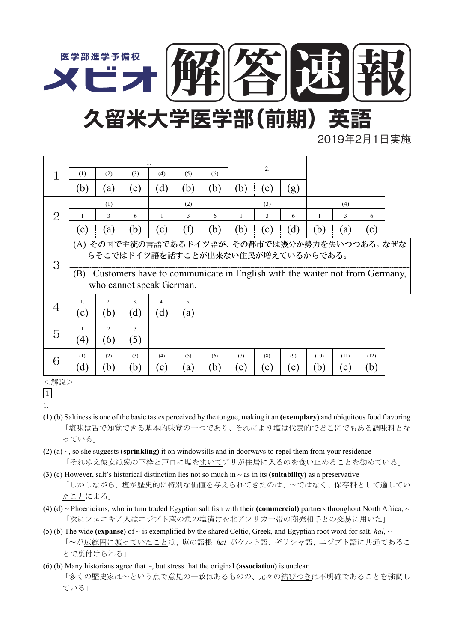

2019年2月1日実施

|                | 1.                                                                                                            |                  |     |     |     |     |     |     |     |      |      |      |  |
|----------------|---------------------------------------------------------------------------------------------------------------|------------------|-----|-----|-----|-----|-----|-----|-----|------|------|------|--|
|                | (1)                                                                                                           | (2)              | (3) | (4) | (5) | (6) | 2.  |     |     |      |      |      |  |
|                | (b)                                                                                                           | (a)              | (c) | (d) | (b) | (b) | (b) | (c) | (g) |      |      |      |  |
| 2              | (1)                                                                                                           |                  |     | (2) |     |     | (3) |     | (4) |      |      |      |  |
|                |                                                                                                               | 3                | 6   | 1   | 3   | 6   |     | 3   | 6   | 1    | 3    | 6    |  |
|                | (e)                                                                                                           | (a)              | (b) | (c) | (f) | (b) | (b) | (c) | (d) | (b)  | (a)  | (c)  |  |
| 3              | (A) その国で主流の言語であるドイツ語が、その都市では幾分か勢力を失いつつある。なぜな<br>らそこではドイツ語を話すことが出来ない住民が増えているからである。                             |                  |     |     |     |     |     |     |     |      |      |      |  |
|                | Customers have to communicate in English with the waiter not from Germany,<br>(B)<br>who cannot speak German. |                  |     |     |     |     |     |     |     |      |      |      |  |
| $\overline{4}$ |                                                                                                               | $\overline{2}$ . | 3.  | 4.  | 5.  |     |     |     |     |      |      |      |  |
|                | (c)                                                                                                           | (b)              | (d) | (d) | (a) |     |     |     |     |      |      |      |  |
| 5              |                                                                                                               |                  |     |     |     |     |     |     |     |      |      |      |  |
|                | (4)                                                                                                           | (6)              | (5) |     |     |     |     |     |     |      |      |      |  |
| 6              | (1)                                                                                                           | (2)              | (3) | (4) | (5) | (6) | (7) | (8) | (9) | (10) | (11) | (12) |  |
|                |                                                                                                               |                  |     |     |     |     |     |     |     |      |      |      |  |
|                | (d)                                                                                                           | (b)              | (b) | (c) | (a) | (b) | (c) | (c) | (c) | (b)  | (c)  | (b)  |  |

<sup>&</sup>lt;解説>

- (1) (b) Saltiness is one of the basic tastes perceived by the tongue, making it an **(exemplary)** and ubiquitous food flavoring 「塩味は舌で知覚できる基本的味覚の一つであり、それにより塩は代表的でどこにでもある調味料とな っている」
- (2) (a) ~, so she suggests **(sprinkling)** it on windowsills and in doorways to repel them from your residence 「それゆえ彼女は窓の下枠と戸口に塩をまいてアリが住居に入るのを食い止めることを勧めている」
- (3) (c) However, salt's historical distinction lies not so much in  $\sim$  as in its **(suitability)** as a preservative 「しかしながら、塩が歴史的に特別な価値を与えられてきたのは、~ではなく、保存料として適してい たことによる」
- (4) (d)  $\sim$  Phoenicians, who in turn traded Egyptian salt fish with their **(commercial)** partners throughout North Africa,  $\sim$ 「次にフェニキア人はエジプト産の魚の塩漬けを北アフリカ一帯の商売相手との交易に用いた」
- (5) (b) The wide **(expanse)** of  $\sim$  is exemplified by the shared Celtic, Greek, and Egyptian root word for salt, *hal*,  $\sim$ 「~が広範囲に渡っていたことは、塩の語根 *hal* がケルト語、ギリシャ語、エジプト語に共通であるこ とで裏付けられる」
- (6) (b) Many historians agree that ~, but stress that the original **(association)** is unclear. 「多くの歴史家は~という点で意見の一致はあるものの、元々の結びつきは不明確であることを強調し ている」

<sup>1</sup> 1.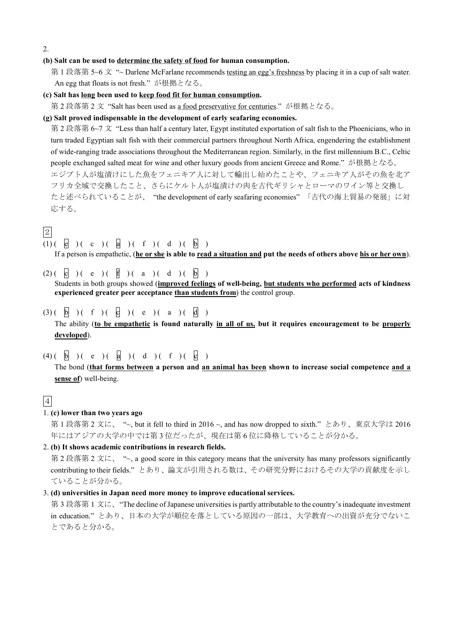2.

#### **(b) Salt can be used to determine the safety of food for human consumption.**

第 1 段落第 5~6 文 "~ Darlene McFarlane recommends testing an egg's freshness by placing it in a cup of salt water. An egg that floats is not fresh." が根拠となる。

### **(c) Salt has long been used to keep food fit for human consumption.**

第 2 段落第 2 文 "Salt has been used as a food preservative for centuries." が根拠となる。

### **(g) Salt proved indispensable in the development of early seafaring economies.**

第 2 段落第 6~7 文 "Less than half a century later, Egypt instituted exportation of salt fish to the Phoenicians, who in turn traded Egyptian salt fish with their commercial partners throughout North Africa, engendering the establishment of wide-ranging trade associations throughout the Mediterranean region. Similarly, in the first millennium B.C., Celtic people exchanged salted meat for wine and other luxury goods from ancient Greece and Rome." が根拠となる。 エジプト人が塩漬けにした魚をフェニキア人に対して輸出し始めたことや、フェニキア人がその魚を北ア フリカ全域で交換したこと、さらにケルト人が塩漬けの肉を古代ギリシャとローマのワイン等と交換し たと述べられていることが、 "the development of early seafaring economies" 「古代の海上貿易の発展」に対 応する。

### 2

```
(1) ( e ) ( c ) ( a ) ( f ) ( d ) ( b )
If a person is empathetic, (he or she is able to read a situation and put the needs of others above his or her own).
```
- $(2) ($  c  $) ($  e  $) ($  f  $) ($  a  $) ($  d  $) ($  b  $)$ Students in both groups showed (**improved feelings of well-being, but students who performed acts of kindness experienced greater peer acceptance than students from**) the control group.
- $(3)$   $(\begin{array}{c} 1 \end{array})$   $(\begin{array}{c} 1 \end{array})$   $(\begin{array}{c} 1 \end{array})$   $(\begin{array}{c} 1 \end{array})$   $(\begin{array}{c} 1 \end{array})$ The ability (**to be empathetic is found naturally in all of us, but it requires encouragement to be properly developed**).
- $(4)$   $(\begin{array}{c} 1 \end{array})$   $(\begin{array}{c} 1 \end{array})$   $(\begin{array}{c} 1 \end{array})$   $(\begin{array}{c} 1 \end{array})$   $(\begin{array}{c} 1 \end{array})$

The bond (**that forms between a person and an animal has been shown to increase social competence and a sense of**) well-being.

# 4

### 1. **(c) lower than two years ago**

第1段落第2文に、"~, but it fell to third in 2016 ~, and has now dropped to sixth."とあり、東京大学は 2016 年にはアジアの大学の中では第 3 位だったが、現在は第 6 位に降格していることが分かる。

### 2. **(b) It shows academic contributions in research fields.**

第 2 段落第 2 文に、 "~, a good score in this category means that the university has many professors significantly contributing to their fields." とあり、論文が引用される数は、その研究分野におけるその大学の貢献度を示し ていることが分かる。

### 3. **(d) universities in Japan need more money to improve educational services.**

第 3 段落第 1 文に、 "The decline of Japanese universities is partly attributable to the country's inadequate investment in education." とあり、日本の大学が順位を落としている原因の一部は、大学教育への出資が充分でないこ とであると分かる。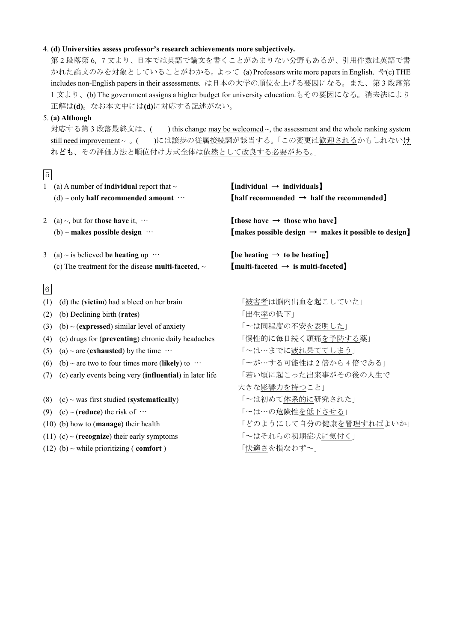### 4. **(d) Universities assess professor's research achievements more subjectively.**

第 2 段落第 6,7 文より、日本では英語で論文を書くことがあまりない分野もあるが、引用件数は英語で書 かれた論文のみを対象としていることがわかる。よって (a) Professors write more papers in English. や(c) THE includes non-English papers in their assessments. は日本の大学の順位を上げる要因になる。また、第 3 段落第 1 文より、(b) The government assigns a higher budget for university education.もその要因になる。消去法により 正解は**(d)**。なお本文中には**(d)**に対応する記述がない。

### 5. **(a) Although**

対応する第3段落最終文は、() this change may be welcomed ~, the assessment and the whole ranking system still need improvement ~ 。()には譲歩の従属接続詞が該当する。「この変更は歓迎されるかもしれないけ れども、その評価方法と順位付け方式全体は依然として改良する必要がある。」

# 5

| 1     | (a) A number of <b>individual</b> report that $\sim$<br>(d) $\sim$ only half recommended amount $\cdots$         | [individual $\rightarrow$ individuals]<br>$[half recommended \rightarrow half the recommended]$                 |
|-------|------------------------------------------------------------------------------------------------------------------|-----------------------------------------------------------------------------------------------------------------|
| 2     | (a) $\sim$ , but for <b>those have</b> it, $\cdots$<br>(b) ~ makes possible design $\cdots$                      | those have $\rightarrow$ those who have<br>$[$ makes possible design $\rightarrow$ makes it possible to design] |
| 3     | (a) $\sim$ is believed be heating up $\cdots$<br>(c) The treatment for the disease <b>multi-faceted</b> , $\sim$ | $[$ be heating $\rightarrow$ to be heating]<br>$[$ multi-faceted $\rightarrow$ is multi-faceted]                |
| $6\,$ |                                                                                                                  |                                                                                                                 |
| (1)   | (d) the (victim) had a bleed on her brain                                                                        | 「被害者は脳内出血を起こしていた」                                                                                               |
| (2)   | (b) Declining birth (rates)                                                                                      | 「出生率の低下」                                                                                                        |
| (3)   | $(b)$ ~ (expressed) similar level of anxiety                                                                     | 「~は同程度の不安を表明した」                                                                                                 |
| (4)   | (c) drugs for (preventing) chronic daily headaches                                                               | 「慢性的に毎日続く頭痛を予防する薬」                                                                                              |
| (5)   | (a) $\sim$ are (exhausted) by the time $\cdots$                                                                  | 「~は…までに疲れ果ててしまう」                                                                                                |
| (6)   | (b) ~ are two to four times more (likely) to $\cdots$                                                            | 「~が…する可能性は2倍から4倍である」                                                                                            |
| (7)   | (c) early events being very (influential) in later life                                                          | 「若い頃に起こった出来事がその後の人生で                                                                                            |
|       |                                                                                                                  | 大きな影響力を持つこと」                                                                                                    |
| (8)   | $(c)$ ~ was first studied (systematically)                                                                       | 「~は初めて体系的に研究された」                                                                                                |
| (9)   | (c) ~ (reduce) the risk of $\cdots$                                                                              | 「~は…の危険性を低下させる」                                                                                                 |
|       | $(10)$ (b) how to (manage) their health                                                                          | 「どのようにして自分の健康を管理すればよいか」                                                                                         |
|       | (11) (c) ~ ( <b>recognize</b> ) their early symptoms                                                             | 「~はそれらの初期症状に気付く」                                                                                                |
|       | (12) (b) $\sim$ while prioritizing (comfort)                                                                     | 「快適さを損なわず~」                                                                                                     |